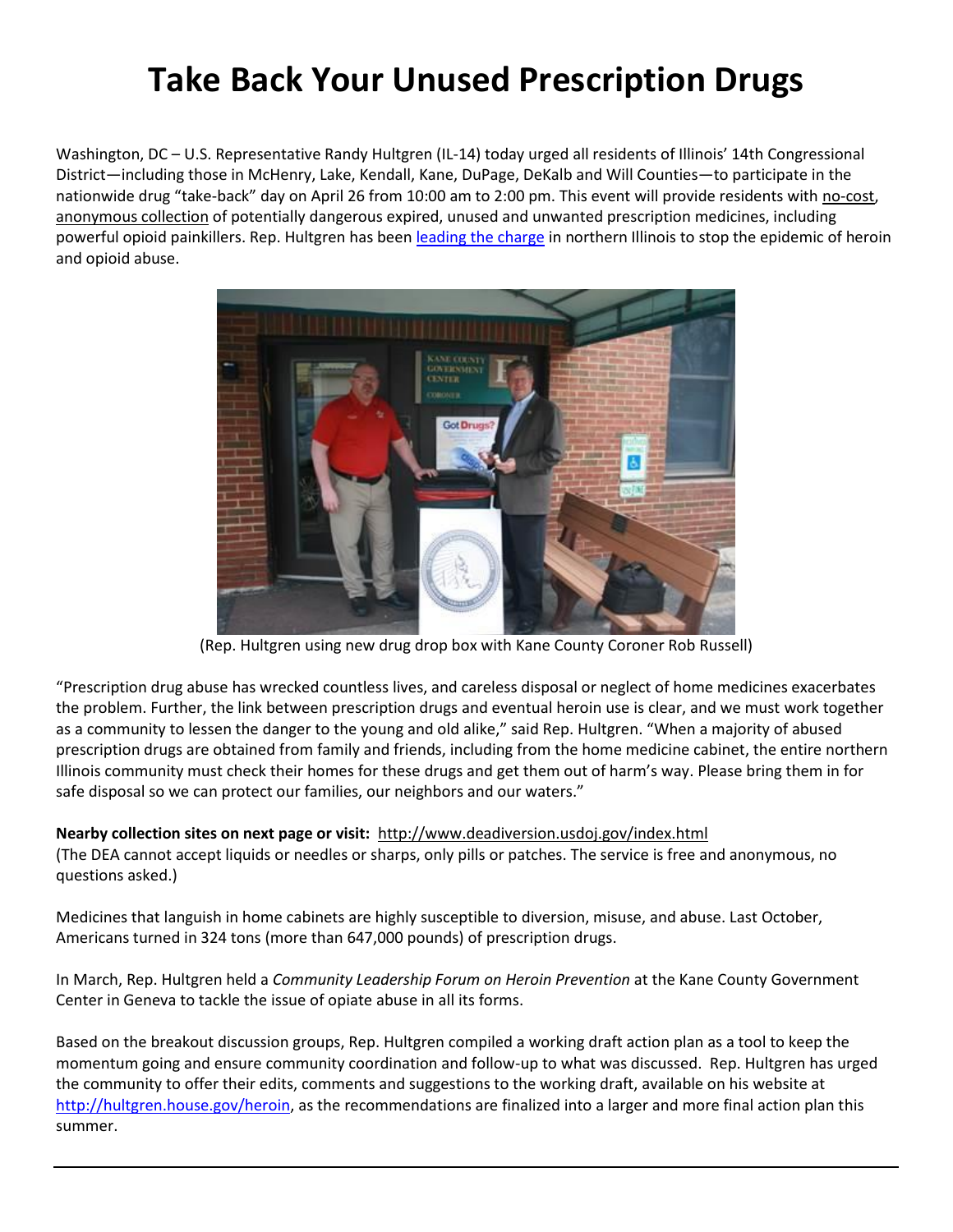## **Take Back Your Unused Prescription Drugs**

Washington, DC – U.S. Representative Randy Hultgren (IL-14) today urged all residents of Illinois' 14th Congressional District—including those in McHenry, Lake, Kendall, Kane, DuPage, DeKalb and Will Counties—to participate in the nationwide drug "take-back" day on April 26 from 10:00 am to 2:00 pm. This event will provide residents with no-cost, anonymous collection of potentially dangerous expired, unused and unwanted prescription medicines, including powerful opioid painkillers. Rep. Hultgren has been [leading the charge](http://hultgren.house.gov/heroin) in northern Illinois to stop the epidemic of heroin and opioid abuse.



(Rep. Hultgren using new drug drop box with Kane County Coroner Rob Russell)

"Prescription drug abuse has wrecked countless lives, and careless disposal or neglect of home medicines exacerbates the problem. Further, the link between prescription drugs and eventual heroin use is clear, and we must work together as a community to lessen the danger to the young and old alike," said Rep. Hultgren. "When a majority of abused prescription drugs are obtained from family and friends, including from the home medicine cabinet, the entire northern Illinois community must check their homes for these drugs and get them out of harm's way. Please bring them in for safe disposal so we can protect our families, our neighbors and our waters."

## **Nearby collection sites on next page or visit:** http://www.deadiversion.usdoj.gov/index.html

(The DEA cannot accept liquids or needles or sharps, only pills or patches. The service is free and anonymous, no questions asked.)

Medicines that languish in home cabinets are highly susceptible to diversion, misuse, and abuse. Last October, Americans turned in 324 tons (more than 647,000 pounds) of prescription drugs.

In March, Rep. Hultgren held a *Community Leadership Forum on Heroin Prevention* at the Kane County Government Center in Geneva to tackle the issue of opiate abuse in all its forms.

Based on the breakout discussion groups, Rep. Hultgren compiled a working draft action plan as a tool to keep the momentum going and ensure community coordination and follow-up to what was discussed. Rep. Hultgren has urged the community to offer their edits, comments and suggestions to the working draft, available on his website at [http://hultgren.house.gov/heroin,](http://hultgren.house.gov/heroin) as the recommendations are finalized into a larger and more final action plan this summer.